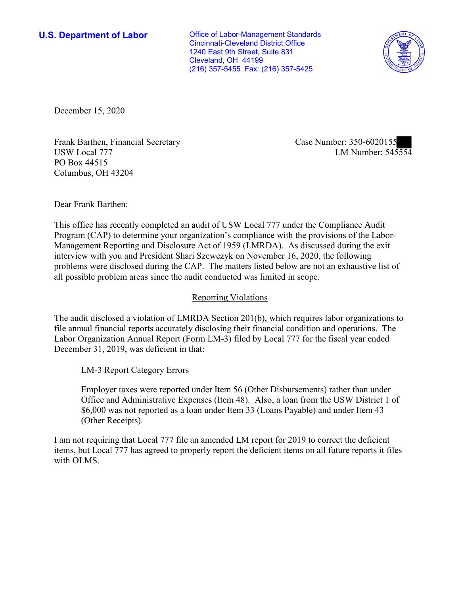Cleveland, OH 44199 **U.S. Department of Labor Office of Labor-Management Standards** Cincinnati-Cleveland District Office 1240 East 9th Street, Suite 831 (216) 357-5455 Fax: (216) 357-5425



December 15, 2020

Frank Bartnen, Financial Secretary<br>USW Local 777 LM Number: 545554 Frank Barthen, Financial Secretary Case Number: 350-6020155 PO Box 44515 Columbus, OH 43204

Dear Frank Barthen:

 This office has recently completed an audit of USW Local 777 under the Compliance Audit Program (CAP) to determine your organization's compliance with the provisions of the Labor-Management Reporting and Disclosure Act of 1959 (LMRDA). As discussed during the exit interview with you and President Shari Szewczyk on November 16, 2020, the following problems were disclosed during the CAP. The matters listed below are not an exhaustive list of all possible problem areas since the audit conducted was limited in scope.

## Reporting Violations

 Labor Organization Annual Report (Form LM-3) filed by Local 777 for the fiscal year ended December 31, 2019, was deficient in that: LM-3 Report Category Errors The audit disclosed a violation of LMRDA Section 201(b), which requires labor organizations to file annual financial reports accurately disclosing their financial condition and operations. The

 Employer taxes were reported under Item 56 (Other Disbursements) rather than under \$6,000 was not reported as a loan under Item 33 (Loans Payable) and under Item 43 Office and Administrative Expenses (Item 48). Also, a loan from the USW District 1 of (Other Receipts).

I am not requiring that Local 777 file an amended LM report for 2019 to correct the deficient items, but Local 777 has agreed to properly report the deficient items on all future reports it files with OLMS.